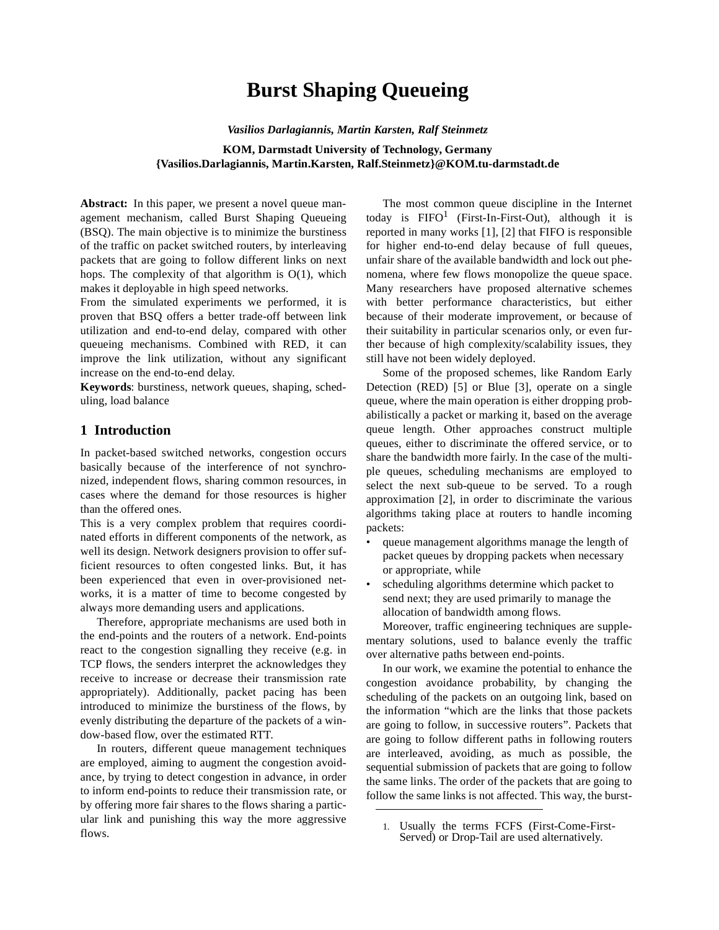# **Burst Shaping Queueing**

*Vasilios Darlagiannis, Martin Karsten, Ralf Steinmetz*

#### **KOM, Darmstadt University of Technology, Germany {Vasilios.Darlagiannis, Martin.Karsten, Ralf.Steinmetz}@KOM.tu-darmstadt.de**

Abstract: In this paper, we present a novel queue management mechanism, called Burst Shaping Queueing (BSQ). The main objective is to minimize the burstiness of the traffic on packet switched routers, by interleaving packets that are going to follow different links on next hops. The complexity of that algorithm is O(1), which makes it deployable in high speed networks.

From the simulated experiments we performed, it is proven that BSQ offers a better trade-off between link utilization and end-to-end delay, compared with other queueing mechanisms. Combined with RED, it can improve the link utilization, without any significant increase on the end-to-end delay.

**Keywords**: burstiness, network queues, shaping, scheduling, load balance

## **1 Introduction**

In packet-based switched networks, congestion occurs basically because of the interference of not synchronized, independent flows, sharing common resources, in cases where the demand for those resources is higher than the offered ones.

This is a very complex problem that requires coordinated efforts in different components of the network, as well its design. Network designers provision to offer sufficient resources to often congested links. But, it has been experienced that even in over-provisioned networks, it is a matter of time to become congested by always more demanding users and applications.

Therefore, appropriate mechanisms are used both in the end-points and the routers of a network. End-points react to the congestion signalling they receive (e.g. in TCP flows, the senders interpret the acknowledges they receive to increase or decrease their transmission rate appropriately). Additionally, packet pacing has been introduced to minimize the burstiness of the flows, by evenly distributing the departure of the packets of a window-based flow, over the estimated RTT.

In routers, different queue management techniques are employed, aiming to augment the congestion avoidance, by trying to detect congestion in advance, in order to inform end-points to reduce their transmission rate, or by offering more fair shares to the flows sharing a particular link and punishing this way the more aggressive flows.

The most common queue discipline in the Internet today is  $FIFO<sup>1</sup>$  (First-In-First-Out), although it is reported in many works [1], [2] that FIFO is responsible for higher end-to-end delay because of full queues, unfair share of the available bandwidth and lock out phenomena, where few flows monopolize the queue space. Many researchers have proposed alternative schemes with better performance characteristics, but either because of their moderate improvement, or because of their suitability in particular scenarios only, or even further because of high complexity/scalability issues, they still have not been widely deployed.

Some of the proposed schemes, like Random Early Detection (RED) [5] or Blue [3], operate on a single queue, where the main operation is either dropping probabilistically a packet or marking it, based on the average queue length. Other approaches construct multiple queues, either to discriminate the offered service, or to share the bandwidth more fairly. In the case of the multiple queues, scheduling mechanisms are employed to select the next sub-queue to be served. To a rough approximation [2], in order to discriminate the various algorithms taking place at routers to handle incoming packets:

- queue management algorithms manage the length of packet queues by dropping packets when necessary or appropriate, while
- scheduling algorithms determine which packet to send next; they are used primarily to manage the allocation of bandwidth among flows.

Moreover, traffic engineering techniques are supplementary solutions, used to balance evenly the traffic over alternative paths between end-points.

In our work, we examine the potential to enhance the congestion avoidance probability, by changing the scheduling of the packets on an outgoing link, based on the information "which are the links that those packets are going to follow, in successive routers". Packets that are going to follow different paths in following routers are interleaved, avoiding, as much as possible, the sequential submission of packets that are going to follow the same links. The order of the packets that are going to follow the same links is not affected. This way, the burst-

<sup>1.</sup> Usually the terms FCFS (First-Come-First-Served) or Drop-Tail are used alternatively.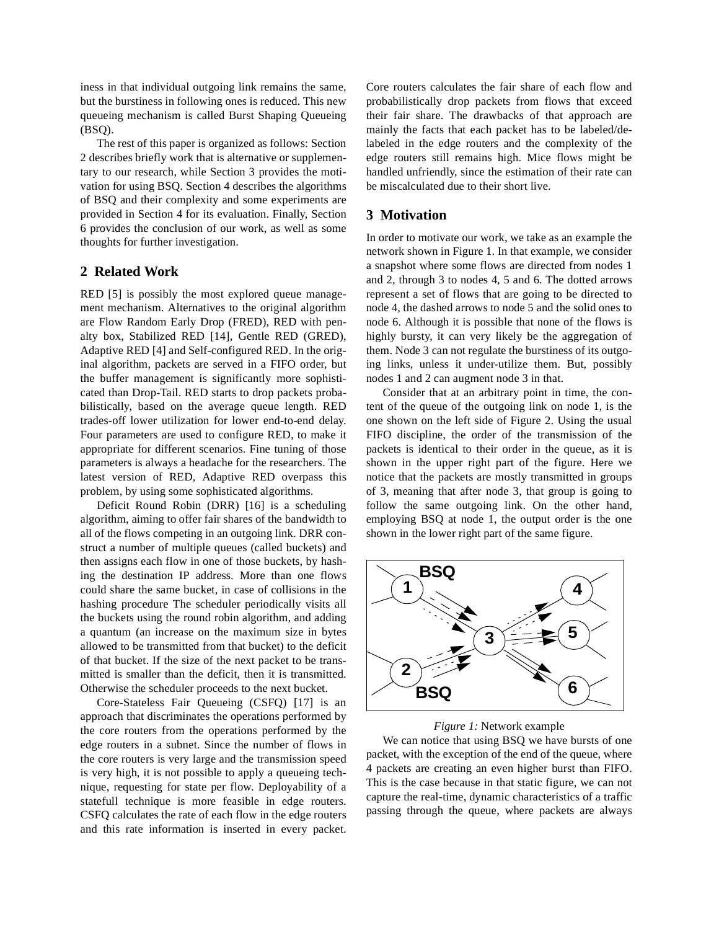iness in that individual outgoing link remains the same, but the burstiness in following ones is reduced. This new queueing mechanism is called Burst Shaping Queueing (BSQ).

The rest of this paper is organized as follows: Section 2 describes briefly work that is alternative or supplementary to our research, while Section 3 provides the motivation for using BSQ. Section 4 describes the algorithms of BSQ and their complexity and some experiments are provided in Section 4 for its evaluation. Finally, Section 6 provides the conclusion of our work, as well as some thoughts for further investigation.

## **2 Related Work**

RED [5] is possibly the most explored queue management mechanism. Alternatives to the original algorithm are Flow Random Early Drop (FRED), RED with penalty box, Stabilized RED [14], Gentle RED (GRED), Adaptive RED [4] and Self-configured RED. In the original algorithm, packets are served in a FIFO order, but the buffer management is significantly more sophisticated than Drop-Tail. RED starts to drop packets probabilistically, based on the average queue length. RED trades-off lower utilization for lower end-to-end delay. Four parameters are used to configure RED, to make it appropriate for different scenarios. Fine tuning of those parameters is always a headache for the researchers. The latest version of RED, Adaptive RED overpass this problem, by using some sophisticated algorithms.

Deficit Round Robin (DRR) [16] is a scheduling algorithm, aiming to offer fair shares of the bandwidth to all of the flows competing in an outgoing link. DRR construct a number of multiple queues (called buckets) and then assigns each flow in one of those buckets, by hashing the destination IP address. More than one flows could share the same bucket, in case of collisions in the hashing procedure The scheduler periodically visits all the buckets using the round robin algorithm, and adding a quantum (an increase on the maximum size in bytes allowed to be transmitted from that bucket) to the deficit of that bucket. If the size of the next packet to be transmitted is smaller than the deficit, then it is transmitted. Otherwise the scheduler proceeds to the next bucket.

Core-Stateless Fair Queueing (CSFQ) [17] is an approach that discriminates the operations performed by the core routers from the operations performed by the edge routers in a subnet. Since the number of flows in the core routers is very large and the transmission speed is very high, it is not possible to apply a queueing technique, requesting for state per flow. Deployability of a statefull technique is more feasible in edge routers. CSFQ calculates the rate of each flow in the edge routers and this rate information is inserted in every packet.

Core routers calculates the fair share of each flow and probabilistically drop packets from flows that exceed their fair share. The drawbacks of that approach are mainly the facts that each packet has to be labeled/delabeled in the edge routers and the complexity of the edge routers still remains high. Mice flows might be handled unfriendly, since the estimation of their rate can be miscalculated due to their short live.

#### **3 Motivation**

In order to motivate our work, we take as an example the network shown in Figure 1. In that example, we consider a snapshot where some flows are directed from nodes 1 and 2, through 3 to nodes 4, 5 and 6. The dotted arrows represent a set of flows that are going to be directed to node 4, the dashed arrows to node 5 and the solid ones to node 6. Although it is possible that none of the flows is highly bursty, it can very likely be the aggregation of them. Node 3 can not regulate the burstiness of its outgoing links, unless it under-utilize them. But, possibly nodes 1 and 2 can augment node 3 in that.

Consider that at an arbitrary point in time, the content of the queue of the outgoing link on node 1, is the one shown on the left side of Figure 2. Using the usual FIFO discipline, the order of the transmission of the packets is identical to their order in the queue, as it is shown in the upper right part of the figure. Here we notice that the packets are mostly transmitted in groups of 3, meaning that after node 3, that group is going to follow the same outgoing link. On the other hand, employing BSQ at node 1, the output order is the one shown in the lower right part of the same figure.



*Figure 1:* Network example

We can notice that using BSO we have bursts of one packet, with the exception of the end of the queue, where 4 packets are creating an even higher burst than FIFO. This is the case because in that static figure, we can not capture the real-time, dynamic characteristics of a traffic passing through the queue, where packets are always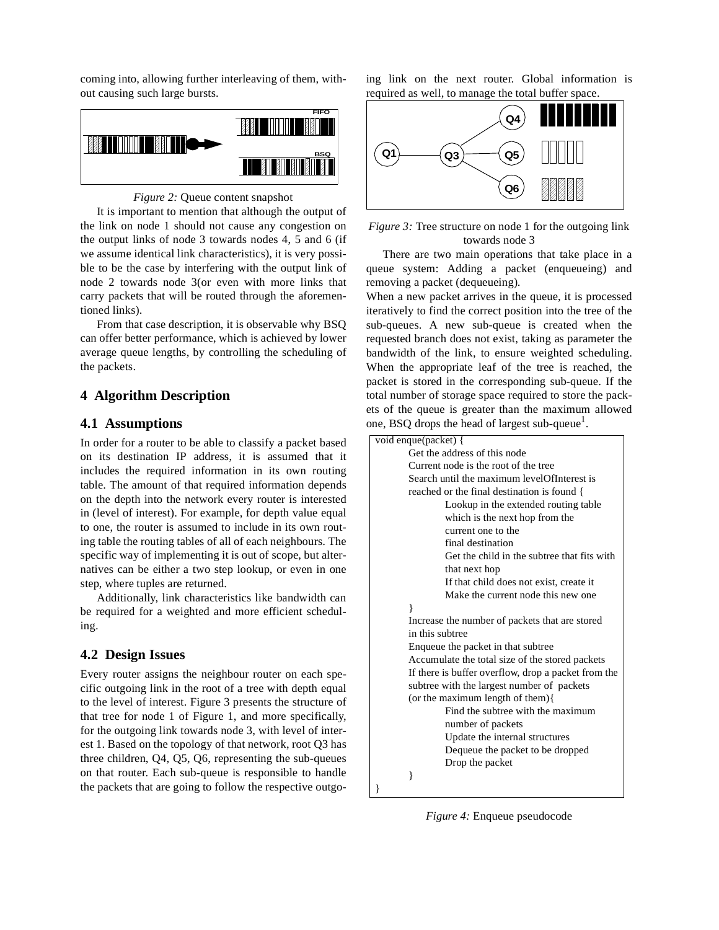coming into, allowing further interleaving of them, without causing such large bursts.



#### *Figure 2:* Queue content snapshot

It is important to mention that although the output of the link on node 1 should not cause any congestion on the output links of node 3 towards nodes 4, 5 and 6 (if we assume identical link characteristics), it is very possible to be the case by interfering with the output link of node 2 towards node 3(or even with more links that carry packets that will be routed through the aforementioned links).

From that case description, it is observable why BSQ can offer better performance, which is achieved by lower average queue lengths, by controlling the scheduling of the packets.

## **4 Algorithm Description**

#### **4.1 Assumptions**

In order for a router to be able to classify a packet based on its destination IP address, it is assumed that it includes the required information in its own routing table. The amount of that required information depends on the depth into the network every router is interested in (level of interest). For example, for depth value equal to one, the router is assumed to include in its own routing table the routing tables of all of each neighbours. The specific way of implementing it is out of scope, but alternatives can be either a two step lookup, or even in one step, where tuples are returned.

Additionally, link characteristics like bandwidth can be required for a weighted and more efficient scheduling.

# **4.2 Design Issues**

Every router assigns the neighbour router on each specific outgoing link in the root of a tree with depth equal to the level of interest. Figure 3 presents the structure of that tree for node 1 of Figure 1, and more specifically, for the outgoing link towards node 3, with level of interest 1. Based on the topology of that network, root Q3 has three children, Q4, Q5, Q6, representing the sub-queues on that router. Each sub-queue is responsible to handle the packets that are going to follow the respective outgoing link on the next router. Global information is required as well, to manage the total buffer space.



*Figure 3:* Tree structure on node 1 for the outgoing link towards node 3

There are two main operations that take place in a queue system: Adding a packet (enqueueing) and removing a packet (dequeueing).

When a new packet arrives in the queue, it is processed iteratively to find the correct position into the tree of the sub-queues. A new sub-queue is created when the requested branch does not exist, taking as parameter the bandwidth of the link, to ensure weighted scheduling. When the appropriate leaf of the tree is reached, the packet is stored in the corresponding sub-queue. If the total number of storage space required to store the packets of the queue is greater than the maximum allowed one, BSQ drops the head of largest sub-queue $<sup>1</sup>$ .</sup>

| void enque(packet) {                                |  |  |
|-----------------------------------------------------|--|--|
| Get the address of this node                        |  |  |
| Current node is the root of the tree                |  |  |
| Search until the maximum levelOfInterest is         |  |  |
| reached or the final destination is found {         |  |  |
| Lookup in the extended routing table.               |  |  |
| which is the next hop from the                      |  |  |
| current one to the                                  |  |  |
| final destination                                   |  |  |
| Get the child in the subtree that fits with         |  |  |
| that next hop                                       |  |  |
| If that child does not exist, create it             |  |  |
| Make the current node this new one.                 |  |  |
| ∤                                                   |  |  |
| Increase the number of packets that are stored      |  |  |
| in this subtree                                     |  |  |
| Enqueue the packet in that subtree                  |  |  |
| Accumulate the total size of the stored packets     |  |  |
| If there is buffer overflow, drop a packet from the |  |  |
| subtree with the largest number of packets          |  |  |
| (or the maximum length of them) $\{$                |  |  |
| Find the subtree with the maximum                   |  |  |
| number of packets                                   |  |  |
| Update the internal structures                      |  |  |
| Dequeue the packet to be dropped                    |  |  |
| Drop the packet                                     |  |  |
| ł                                                   |  |  |
| ı                                                   |  |  |

*Figure 4:* Enqueue pseudocode

}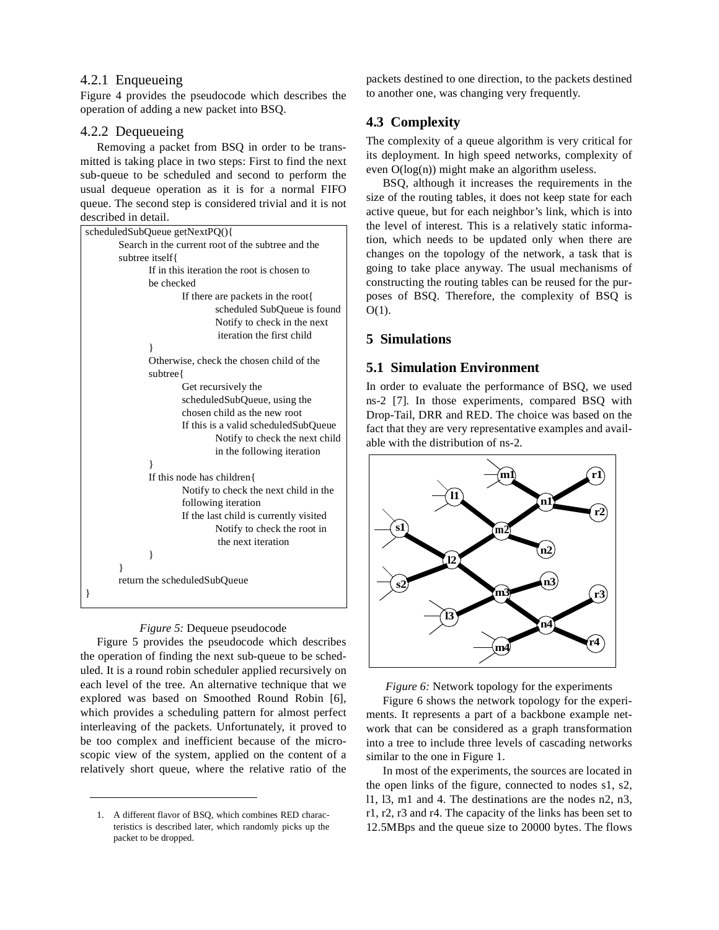### 4.2.1 Enqueueing

Figure 4 provides the pseudocode which describes the operation of adding a new packet into BSQ.

#### 4.2.2 Dequeueing

Removing a packet from BSQ in order to be transmitted is taking place in two steps: First to find the next sub-queue to be scheduled and second to perform the usual dequeue operation as it is for a normal FIFO queue. The second step is considered trivial and it is not described in detail.

| scheduledSubQueue getNextPQ(){                    |  |  |
|---------------------------------------------------|--|--|
| Search in the current root of the subtree and the |  |  |
| subtree itself{                                   |  |  |
| If in this iteration the root is chosen to        |  |  |
| be checked                                        |  |  |
| If there are packets in the root{                 |  |  |
| scheduled SubQueue is found                       |  |  |
| Notify to check in the next                       |  |  |
| iteration the first child                         |  |  |
| ł                                                 |  |  |
| Otherwise, check the chosen child of the          |  |  |
| subtree{                                          |  |  |
| Get recursively the                               |  |  |
| scheduledSubQueue, using the                      |  |  |
| chosen child as the new root                      |  |  |
| If this is a valid scheduled SubQueue             |  |  |
| Notify to check the next child                    |  |  |
| in the following iteration                        |  |  |
| ł                                                 |  |  |
| If this node has children{                        |  |  |
| Notify to check the next child in the             |  |  |
| following iteration                               |  |  |
| If the last child is currently visited            |  |  |
| Notify to check the root in                       |  |  |
| the next iteration                                |  |  |
| }                                                 |  |  |
| ∤                                                 |  |  |
| return the scheduledSubQueue                      |  |  |
|                                                   |  |  |



Figure 5 provides the pseudocode which describes the operation of finding the next sub-queue to be scheduled. It is a round robin scheduler applied recursively on each level of the tree. An alternative technique that we explored was based on Smoothed Round Robin [6], which provides a scheduling pattern for almost perfect interleaving of the packets. Unfortunately, it proved to be too complex and inefficient because of the microscopic view of the system, applied on the content of a relatively short queue, where the relative ratio of the

packets destined to one direction, to the packets destined to another one, was changing very frequently.

# **4.3 Complexity**

The complexity of a queue algorithm is very critical for its deployment. In high speed networks, complexity of even O(log(n)) might make an algorithm useless.

BSQ, although it increases the requirements in the size of the routing tables, it does not keep state for each active queue, but for each neighbor's link, which is into the level of interest. This is a relatively static information, which needs to be updated only when there are changes on the topology of the network, a task that is going to take place anyway. The usual mechanisms of constructing the routing tables can be reused for the purposes of BSQ. Therefore, the complexity of BSQ is  $O(1)$ .

# **5 Simulations**

### **5.1 Simulation Environment**

In order to evaluate the performance of BSQ, we used ns-2 [7]. In those experiments, compared BSQ with Drop-Tail, DRR and RED. The choice was based on the fact that they are very representative examples and available with the distribution of ns-2.





Figure 6 shows the network topology for the experiments. It represents a part of a backbone example network that can be considered as a graph transformation into a tree to include three levels of cascading networks similar to the one in Figure 1.

In most of the experiments, the sources are located in the open links of the figure, connected to nodes s1, s2, l1, l3, m1 and 4. The destinations are the nodes n2, n3, r1, r2, r3 and r4. The capacity of the links has been set to 12.5MBps and the queue size to 20000 bytes. The flows

<sup>1.</sup> A different flavor of BSQ, which combines RED characteristics is described later, which randomly picks up the packet to be dropped.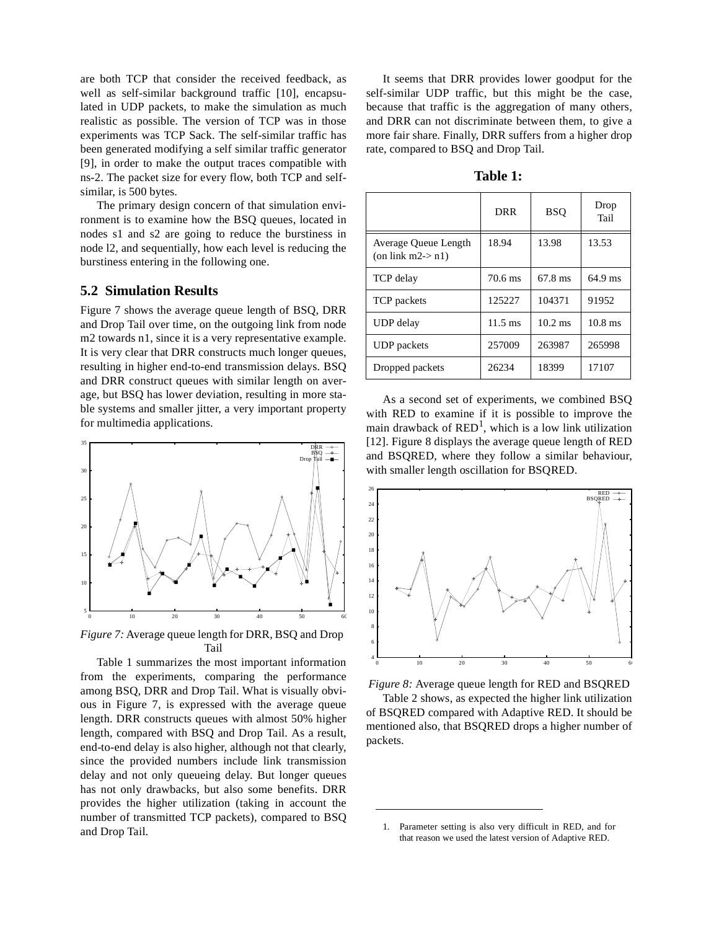are both TCP that consider the received feedback, as well as self-similar background traffic [10], encapsulated in UDP packets, to make the simulation as much realistic as possible. The version of TCP was in those experiments was TCP Sack. The self-similar traffic has been generated modifying a self similar traffic generator [9], in order to make the output traces compatible with ns-2. The packet size for every flow, both TCP and selfsimilar, is 500 bytes.

The primary design concern of that simulation environment is to examine how the BSQ queues, located in nodes s1 and s2 are going to reduce the burstiness in node l2, and sequentially, how each level is reducing the burstiness entering in the following one.

#### **5.2 Simulation Results**

Figure 7 shows the average queue length of BSQ, DRR and Drop Tail over time, on the outgoing link from node m2 towards n1, since it is a very representative example. It is very clear that DRR constructs much longer queues, resulting in higher end-to-end transmission delays. BSQ and DRR construct queues with similar length on average, but BSQ has lower deviation, resulting in more stable systems and smaller jitter, a very important property for multimedia applications.



*Figure 7:* Average queue length for DRR, BSQ and Drop Tail

Table 1 summarizes the most important information from the experiments, comparing the performance among BSQ, DRR and Drop Tail. What is visually obvious in Figure 7, is expressed with the average queue length. DRR constructs queues with almost 50% higher length, compared with BSQ and Drop Tail. As a result, end-to-end delay is also higher, although not that clearly, since the provided numbers include link transmission delay and not only queueing delay. But longer queues has not only drawbacks, but also some benefits. DRR provides the higher utilization (taking in account the number of transmitted TCP packets), compared to BSQ and Drop Tail.

It seems that DRR provides lower goodput for the self-similar UDP traffic, but this might be the case, because that traffic is the aggregation of many others, and DRR can not discriminate between them, to give a more fair share. Finally, DRR suffers from a higher drop rate, compared to BSQ and Drop Tail.

**Table 1:**

|                                              | <b>DRR</b>        | <b>BSQ</b> | Drop<br>Tail |
|----------------------------------------------|-------------------|------------|--------------|
| Average Oueue Length<br>(on link $m2 > n1$ ) | 18.94             | 13.98      | 13.53        |
| <b>TCP</b> delay                             | 70.6 ms           | 67.8 ms    | $64.9$ ms    |
| TCP packets                                  | 125227            | 104371     | 91952        |
| UDP delay                                    | $11.5 \text{ ms}$ | $10.2$ ms  | $10.8$ ms    |
| <b>UDP</b> packets                           | 257009            | 263987     | 265998       |
| Dropped packets                              | 26234             | 18399      | 17107        |

As a second set of experiments, we combined BSQ with RED to examine if it is possible to improve the main drawback of  $RED<sup>1</sup>$ , which is a low link utilization [12]. Figure 8 displays the average queue length of RED and BSQRED, where they follow a similar behaviour, with smaller length oscillation for BSQRED.



*Figure 8:* Average queue length for RED and BSQRED

Table 2 shows, as expected the higher link utilization of BSQRED compared with Adaptive RED. It should be mentioned also, that BSQRED drops a higher number of packets.

<sup>1.</sup> Parameter setting is also very difficult in RED, and for that reason we used the latest version of Adaptive RED.